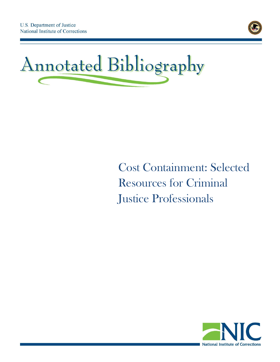



# Cost Containment: Selected Resources for Criminal Justice Professionals

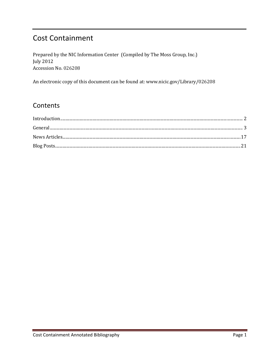## **Cost Containment**

Prepared by the NIC Information Center (Compiled by The Moss Group, Inc.) **July 2012** Accession No. 026208

An electronic copy of this document can be found at: www.nicic.gov/Library/026208

### Contents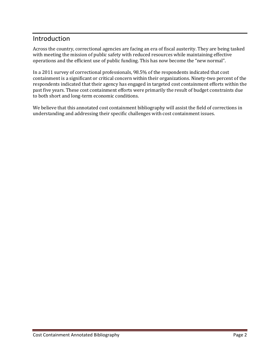#### <span id="page-2-0"></span>Introduction

Across the country, correctional agencies are facing an era of fiscal austerity. They are being tasked with meeting the mission of public safety with reduced resources while maintaining effective operations and the efficient use of public funding. This has now become the "new normal".

In a 2011 survey of correctional professionals, 98.5% of the respondents indicated that cost containment is a significant or critical concern within their organizations. Ninety-two percent of the respondents indicated that their agency has engaged in targeted cost containment efforts within the past five years. These cost containment efforts were primarily the result of budget constraints due to both short and long-term economic conditions.

We believe that this annotated cost containment bibliography will assist the field of corrections in understanding and addressing their specific challenges with cost containment issues.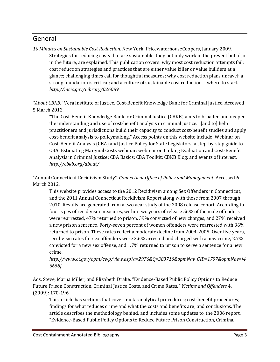#### <span id="page-3-0"></span>General

*10 Minutes on Sustainable Cost Reduction*. New York: PricewaterhouseCoopers, January 2009. Strategies for reducing costs that are sustainable, they not only work in the present but also in the future, are explained. This publication covers: why most cost reduction attempts fail; cost reduction strategies and practices that are either value killer or value builders at a glance; challenging times call for thoughtful measures; why cost reduction plans unravel; a strong foundation is critical; and a culture of sustainable cost reduction—where to start. *<http://nicic.gov/Library/026089>*

*"About CBKB."* Vera Institute of Justice, Cost-Benefit Knowledge Bank for Criminal Justice. Accessed 5 March 2012.

"The Cost-Benefit Knowledge Bank for Criminal Justice (CBKB) aims to broaden and deepen the understanding and use of cost-benefit analysis in criminal justice... [and to] help practitioners and jurisdictions build their capacity to conduct cost-benefit studies and apply cost-benefit analysis to policymaking." Access points on this website include: Webinar on Cost-Benefit Analysis (CBA) and Justice Policy for State Legislators; a step-by-step guide to CBA; Estimating Marginal Costs webinar; webinar on Linking Evaluation and Cost-Benefit Analysis in Criminal Justice; CBA Basics; CBA Toolkit; CBKB Blog; and events of interest. *<http://cbkb.org/about/>*

"Annual Connecticut Recidivism Study". *Connecticut Office of Policy and Management*. Accessed 6 March 2012.

This website provides access to the 2012 Recidivism among Sex Offenders in Connecticut, and the 2011 Annual Connecticut Recidivism Report along with those from 2007 through 2010. Results are generated from a two year study of the 2008 release cohort. According to four types of recidivism measures, within two years of release 56% of the male offenders were rearrested, 47% returned to prison, 39% convicted of new charges, and 27% received a new prison sentence. Forty-seven percent of women offenders were rearrested with 36% returned to prison. These rates reflect a moderate decline from 2004-2005. Over five years, recidivism rates for sex offenders were 3.6% arrested and charged with a new crime, 2.7% convicted for a new sex offense, and 1.7% returned to prison to serve a sentence for a new crime.

*[http://www.ct.gov/opm/cwp/view.asp?a=2976&Q=383710&opmNav\\_GID=1797&opmNav=|4](http://www.ct.gov/opm/cwp/view.asp?a=2976&Q=383710&opmNav_GID=1797&opmNav=|46658|) [6658|](http://www.ct.gov/opm/cwp/view.asp?a=2976&Q=383710&opmNav_GID=1797&opmNav=|46658|)*

Aos, Steve, Marna Miller, and Elizabeth Drake. "Evidence-Based Public Policy Options to Reduce Future Prison Construction, Criminal Justice Costs, and Crime Rates*." Victims and Offenders* 4, (2009): 170-196.

This article has sections that cover: meta-analytical procedures; cost-benefit procedures; findings for what reduces crime and what the costs and benefits are; and conclusions. The article describes the methodology behind, and includes some updates to, the 2006 report, "Evidence-Based Public Policy Options to Reduce Future Prison Construction, Criminal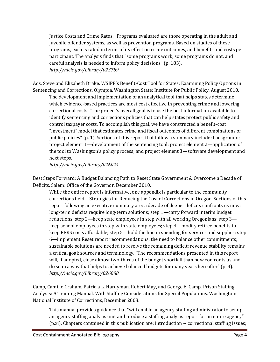Justice Costs and Crime Rates." Programs evaluated are those operating in the adult and juvenile offender systems, as well as prevention programs. Based on studies of these programs, each is rated in terms of its effect on crime outcomes, and benefits and costs per participant. The analysis finds that "some programs work, some programs do not, and careful analysis is needed to inform policy decisions" (p. 183). *<http://nicic.gov/Library/023789>*

Aos, Steve and Elizabeth Drake. WSIPP's Benefit-Cost Tool for States: Examining Policy Options in Sentencing and Corrections. Olympia, Washington State: Institute for Public Policy, August 2010.

The development and implementation of an analytical tool that helps states determine which evidence-based practices are most cost effective in preventing crime and lowering correctional costs. "The project's overall goal is to use the best information available to identify sentencing and corrections policies that can help states protect public safety and control taxpayer costs. To accomplish this goal, we have constructed a benefit-cost "investment" model that estimates crime and fiscal outcomes of different combinations of public policies" (p. 1). Sections of this report that follow a summary include: background; project element 1—development of the sentencing tool; project element 2—application of the tool to Washington's policy process; and project element 3—software development and next steps.

*<http://nicic.gov/Library/026024>*

Best Steps Forward: A Budget Balancing Path to Reset State Government & Overcome a Decade of Deficits. Salem: Office of the Governor, December 2010.

While the entire report is informative, one appendix is particular to the community corrections field—Strategies for Reducing the Cost of Corrections in Oregon. Sections of this report following an executive summary are: a decade of deeper deficits confronts us now; long-term deficits require long-term solutions; step 1—carry forward interim budget reductions; step 2—keep state employees in step with all working Oregonians; step 3 keep school employees in step with state employees; step 4—modify retiree benefits to keep PERS costs affordable; step 5—hold the line in spending for services and supplies; step 6—implement Reset report recommendations; the need to balance other commitments; sustainable solutions are needed to resolve the remaining deficit; revenue stability remains a critical goal; sources and terminology. "The recommendations presented in this report will, if adopted, close almost two-thirds of the budget shortfall than now confronts us and do so in a way that helps to achieve balanced budgets for many years hereafter" (p. 4). *<http://nicic.gov/Library/026088>*

Camp, Camille Graham, Patricia L. Hardyman, Robert May, and George E. Camp. Prison Staffing Analysis: A Training Manual. With Staffing Considerations for Special Populations. Washington: National Institute of Corrections, December 2008.

This manual provides guidance that "will enable an agency staffing administrator to set up an agency staffing analysis unit and produce a staffing analysis report for an entire agency" (p.xi). Chapters contained in this publication are: introduction -- correctional staffing issues;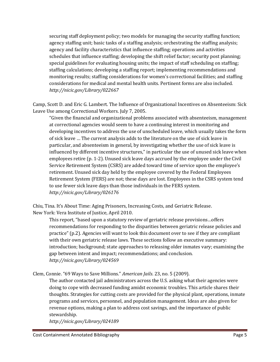securing staff deployment policy; two models for managing the security staffing function; agency staffing unit; basic tasks of a staffing analysis; orchestrating the staffing analysis; agency and facility characteristics that influence staffing; operations and activities schedules that influence staffing; developing the shift relief factor; security post planning; special guidelines for evaluating housing units; the impact of staff scheduling on staffing; staffing calculations; developing a staffing report; implementing recommendations and monitoring results; staffing considerations for women's correctional facilities; and staffing considerations for medical and mental health units. Pertinent forms are also included. *<http://nicic.gov/Library/022667>*

Camp, Scott D. and Eric G. Lambert. The Influence of Organizational Incentives on Absenteeism: Sick Leave Use among Correctional Workers. July 7, 2005.

"Given the financial and organizational problems associated with absenteeism, management at correctional agencies would seem to have a continuing interest in monitoring and developing incentives to address the use of unscheduled leave, which usually takes the form of sick leave … The current analysis adds to the literature on the use of sick leave in particular, and absenteeism in general, by investigating whether the use of sick leave is influenced by different incentive structures," in particular the use of unused sick leave when employees retire (p. 1-2). Unused sick leave days accrued by the employee under the Civil Service Retirement System (CSRS) are added toward time of service upon the employee's retirement. Unused sick day held by the employee covered by the Federal Employees Retirement System (FERS) are not; these days are lost. Employees in the CSRS system tend to use fewer sick leave days than those individuals in the FERS system. *<http://nicic.gov/Library/026176>*

Chiu, Tina. It's About Time: Aging Prisoners, Increasing Costs, and Geriatric Release. New York: Vera Institute of Justice, April 2010.

This report, "based upon a statutory review of geriatric release provisions…offers recommendations for responding to the disparities between geriatric release policies and practice" (p.2). Agencies will want to look this document over to see if they are compliant with their own geriatric release laws. These sections follow an executive summary: introduction; background; state approaches to releasing older inmates vary; examining the gap between intent and impact; recommendations; and conclusion. *<http://nicic.gov/Library/024569>*

Clem, Connie. "69 Ways to Save Millions." *American Jails*. 23, no. 5 (2009).

The author contacted jail administrators across the U.S. asking what their agencies were doing to cope with decreased funding amidst economic troubles. This article shares their thoughts. Strategies for cutting costs are provided for the physical plant, operations, inmate programs and services, personnel, and population management. Ideas are also given for revenue options, making a plan to address cost savings, and the importance of public stewardship.

*<http://nicic.gov/Library/024189>*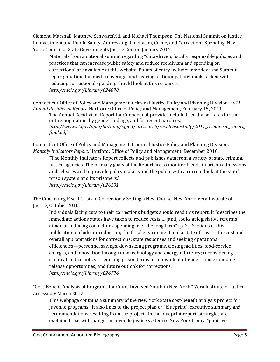Clement, Marshall, Matthew Schwarzfeld, and Michael Thompson. The National Summit on Justice Reinvestment and Public Safety: Addressing Recidivism, Crime, and Corrections Spending. New York: Council of State Governments Justice Center, January 2011.

Materials from a national summit regarding "data-driven, fiscally responsible policies and practices that can increase public safety and reduce recidivism and spending on corrections" are available at this website. Points of entry include: overview and Summit report; multimedia; media coverage; and hearing testimony. Individuals tasked with reducing correctional spending should look at this resource. *<http://nicic.gov/Library/024870>*

Connecticut Office of Policy and Management, Criminal Justice Policy and Planning Division. *2011 Annual Recidivism Report*. Hartford: Office of Policy and Management, February 15, 2011.

The Annual Recidivism Report for Connecticut provides detailed recidivism rates for the entire population, by gender and age, and for recent parolees. *[http://www.ct.gov/opm/lib/opm/cjppd/cjresearch/recidivismstudy/2011\\_recidivism\\_report\\_](http://www.ct.gov/opm/lib/opm/cjppd/cjresearch/recidivismstudy/2011_recidivism_report_final.pdf) [final.pdf](http://www.ct.gov/opm/lib/opm/cjppd/cjresearch/recidivismstudy/2011_recidivism_report_final.pdf)*

Connecticut Office of Policy and Management, Criminal Justice Policy and Planning Division. *Monthly Indicators Report*. Hartford: Office of Policy and Management, December 2010.

"The Monthly Indicators Report collects and publishes data from a variety of state criminal justice agencies. The primary goals of the Report are to monitor trends in prison admissions and releases and to provide policy makers and the public with a current look at the state's prison system and its prisoners."

*<http://nicic.gov/Library/026191>*

The Continuing Fiscal Crisis in Corrections: Setting a New Course*.* New York: Vera Institute of Justice, October 2010.

Individuals facing cuts to their corrections budgets should read this report. It "describes the immediate actions states have taken to reduce costs … [and] looks at legislative reforms aimed at reducing corrections spending over the long term" (p. 2). Sections of this publication include: introduction; the fiscal environment and a state of crisis—the cost and overall appropriations for corrections; state responses and seeking operational efficiencies—personnel savings, downsizing programs, closing facilities, food-service charges, and innovation through new technology and energy efficiency; reconsidering criminal justice policy—reducing prison terms for nonviolent offenders and expanding release opportunities; and future outlook for corrections. *<http://nicic.gov/Library/024774>*

"Cost-Benefit Analysis of Programs for Court-Involved Youth in New York." Vera Institute of Justice. Accessed 8 March 2012.

This webpage contains a summary of the New York State cost-benefit analysis project for juvenile programs. It also links to the project plan or "blueprint", executive summary and recommendations resulting from the project. In the blueprint report, strategies are explained that will change the juvenile justice system of New York from a "punitive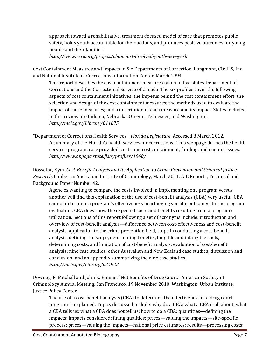approach toward a rehabilitative, treatment-focused model of care that promotes public safety, holds youth accountable for their actions, and produces positive outcomes for young people and their families."

*<http://www.vera.org/project/cba-court-involved-youth-new-york>*

Cost Containment Measures and Impacts in Six Departments of Correction. Longmont, CO: LIS, Inc. and National Institute of Corrections Information Center, March 1994.

This report describes the cost containment measures taken in five states Department of Corrections and the Correctional Service of Canada. The six profiles cover the following aspects of cost containment initiatives: the impetus behind the cost containment effort; the selection and design of the cost containment measures; the methods used to evaluate the impact of those measures; and a description of each measure and its impact. States included in this review are Indiana, Nebraska, Oregon, Tennessee, and Washington. *<http://nicic.gov/Library/011675>*

"Department of Corrections Health Services." *Florida Legislature*. Accessed 8 March 2012. A summary of the Florida's health services for corrections. This webpage defines the health services program, care provided, costs and cost containment, funding, and current issues. *<http://www.oppaga.state.fl.us/profiles/1040/>*

Dossetor, Kym. *Cost-Benefit Analysis and Its Application to Crime Prevention and Criminal Justice Research*. Canberra: Australian Institute of Criminology, March 2011. AIC Reports, Technical and Background Paper Number 42.

Agencies wanting to compare the costs involved in implementing one program versus another will find this explanation of the use of cost-benefit analysis (CBA) very useful. CBA cannot determine a program's effectiveness in achieving specific outcomes; this is program evaluation. CBA does show the expected costs and benefits resulting from a program's utilization. Sections of this report following a set of acronyms include: introduction and overview of cost-benefit analysis—difference between cost-effectiveness and cost-benefit analysis, application to the crime prevention field, steps in conducting a cost-benefit analysis, defining the scope, determining benefits, tangible and intangible costs, determining costs, and limitation of cost-benefit analysis; evaluation of cost-benefit analysis; nine case studies; other Australian and New Zealand case studies; discussion and conclusion; and an appendix summarizing the nine case studies. *<http://nicic.gov/Library/024922>*

Downey, P. Mitchell and John K. Roman. "Net Benefits of Drug Court." American Society of Criminology Annual Meeting, San Francisco, 19 November 2010. Washington: Urban Institute, Justice Policy Center.

The use of a cost-benefit analysis (CBA) to determine the effectiveness of a drug court program is explained. Topics discussed include: why do a CBA; what a CBA is all about; what a CBA tells us; what a CBA does not tell us; how to do a CBA; quantities—defining the impacts; impacts considered; fining qualities; prices—valuing the impacts—site-specific process; prices—valuing the impacts—national price estimates; results—processing costs;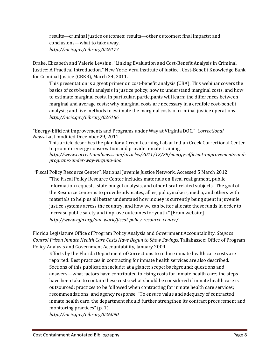results—criminal justice outcomes; results—other outcomes; final impacts; and conclusions—what to take away. *<http://nicic.gov/Library/026177>*

Drake, Elizabeth and Valerie Levshin. "Linking Evaluation and Cost-Benefit Analysis in Criminal Justice: A Practical Introduction." New York: Vera Institute of Justice , Cost-Benefit Knowledge Bank for Criminal Justice (CBKB), March 24, 2011.

This presentation is a great primer on cost-benefit analysis (CBA). This webinar covers the basics of cost-benefit analysis in justice policy, how to understand marginal costs, and how to estimate marginal costs. In particular, participants will learn: the differences between marginal and average costs; why marginal costs are necessary in a credible cost-benefit analysis; and five methods to estimate the marginal costs of criminal justice operations. *<http://nicic.gov/Library/026166>*

"Energy-Efficient Improvements and Programs under Way at Virginia DOC." *Correctional News.* Last modified December 29, 2011.

This article describes the plan for a Green Learning Lab at Indian Creek Correctional Center to promote energy conservation and provide inmate training. *[http://www.correctionalnews.com/articles/2011/12/29/energy-efficient-improvements-and](http://www.correctionalnews.com/articles/2011/12/29/energy-efficient-improvements-and-programs-under-way-virginia-doc)[programs-under-way-virginia-doc](http://www.correctionalnews.com/articles/2011/12/29/energy-efficient-improvements-and-programs-under-way-virginia-doc)*

*"*Fiscal Policy Resource Center*"*. National Juvenile Justice Network. Accessed 5 March 2012. "The Fiscal Policy Resource Center includes materials on fiscal realignment, public information requests, state budget analysis, and other fiscal-related subjects. The goal of the Resource Center is to provide advocates, allies, policymakers, media, and others with materials to help us all better understand how money is currently being spent in juvenile justice systems across the country, and how we can better allocate those funds in order to increase public safety and improve outcomes for youth." [From website] *<http://www.njjn.org/our-work/fiscal-policy-resource-center/>*

Florida Legislature Office of Program Policy Analysis and Government Accountability. *Steps to Control Prison Inmate Health Care Costs Have Begun to Show Savings*. Tallahassee: Office of Program Policy Analysis and Government Accountability, January 2009.

Efforts by the Florida Department of Corrections to reduce inmate health care costs are reported. Best practices in contracting for inmate health services are also described. Sections of this publication include: at a glance; scope; background; questions and answers—what factors have contributed to rising costs for inmate health care; the steps have been take to contain these costs; what should be considered if inmate health care is outsourced; practices to be followed when contracting for inmate health care services; recommendations; and agency response. "To ensure value and adequacy of contracted inmate health care, the department should further strengthen its contract procurement and monitoring practices" (p. 1).

*<http://nicic.gov/Library/026090>*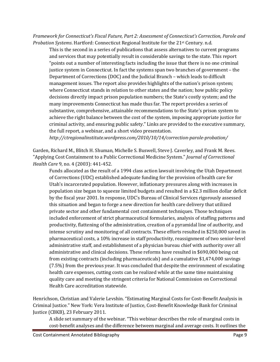*Framework for Connecticut's Fiscal Future, Part 2: Assessment of Connecticut's Correction, Parole and Probation Systems*. Hartford: Connecticut Regional Institute for the 21st Century. n.d.

This is the second in a series of publications that assess alternatives to current programs and services that may potentially result in considerable savings to the state. This report "points out a number of interesting facts including the issue that there is no one criminal justice system in Connecticut. In fact the systems span two branches of government – the Department of Corrections (DOC) and the Judicial Branch – which leads to difficult management issues. The report also provides highlights of the nation's prison system; where Connecticut stands in relation to other states and the nation; how public policy decisions directly impact prison population numbers; the State's costly system; and the many improvements Connecticut has made thus far. The report provides a series of substantive, comprehensive, attainable recommendations to the State's prison system to achieve the right balance between the cost of the system, imposing appropriate justice for criminal activity, and ensuring public safety." Links are provided to the executive summary, the full report, a webinar, and a short video presentation.

*<http://ctregionalinstitute.wordpress.com/2010/10/14/correction-parole-probation/>*

Garden, Richard M., Blitch H. Shuman, Michelle S. Buswell, Steve J. Caverley, and Frank M. Rees. "Applying Cost Containment to a Public Correctional Medicine System." *Journal of Correctional Health Care* 9, no. 4 (2003): 441-452.

Funds allocated as the result of a 1994 class action lawsuit involving the Utah Department of Corrections (UDC) established adequate funding for the provision of health care for Utah's incarcerated population. However, inflationary pressures along with increases in population size began to squeeze limited budgets and resulted in a \$2.3 million dollar deficit by the fiscal year 2001. In response, UDC's Bureau of Clinical Services rigorously assessed this situation and began to forge a new direction for health care delivery that utilized private sector and other fundamental cost containment techniques. Those techniques included enforcement of strict pharmaceutical formularies, analysis of staffing patterns and productivity, flattening of the administration, creation of a pyramidal line of authority, and intense scrutiny and monitoring of all contracts. These efforts resulted in \$250,000 saved in pharmaceutical costs, a 10% increase in staff productivity, reassignment of two senior-level administrative staff, and establishment of a physician bureau chief with authority over all administrative and clinical decisions. These reforms have resulted in \$690,000 being cut from existing contracts (including pharmaceuticals) and a cumulative \$1,474,000 savings (7.5%) from the previous year. It was concluded that despite the environment of escalating health care expenses, cutting costs can be realized while at the same time maintaining quality care and meeting the stringent criteria for National Commission on Correctional Health Care accreditation statewide.

Henrichson, Christian and Valerie Levshin. "Estimating Marginal Costs for Cost-Benefit Analysis in Criminal Justice." New York: Vera Institute of Justice, Cost-Benefit Knowledge Bank for Criminal Justice (CBKB), 23 February 2011.

A slide set summary of the webinar. "This webinar describes the role of marginal costs in cost-benefit analyses and the difference between marginal and average costs. It outlines the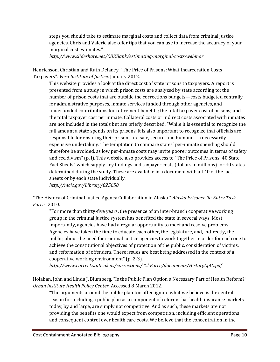steps you should take to estimate marginal costs and collect data from criminal justice agencies. Chris and Valerie also offer tips that you can use to increase the accuracy of your marginal cost estimates."

*<http://www.slideshare.net/CBKBank/estimating-marginal-costs-webinar>*

Henrichson, Christian and Ruth Delaney. "The Price of Prisons: What Incarceration Costs Taxpayers". *Vera Institute of Justice.* January 2012.

This website provides a look at the direct cost of state prisons to taxpayers. A report is presented from a study in which prison costs are analyzed by state according to: the number of prison costs that are outside the corrections budgets—costs budgeted centrally for administrative purposes, inmate services funded through other agencies, and underfunded contributions for retirement benefits; the total taxpayer cost of prisons; and the total taxpayer cost per inmate. Collateral costs or indirect costs associated with inmates are not included in the totals but are briefly described. "While it is essential to recognize the full amount a state spends on its prisons, it is also important to recognize that officials are responsible for ensuring their prisons are safe, secure, and humane—a necessarily expensive undertaking. The temptation to compare states' per-inmate spending should therefore be avoided, as low per-inmate costs may invite poorer outcomes in terms of safety and recidivism" (p. i). This website also provides access to "The Price of Prisons: 40 State Fact Sheets" which supply key findings and taxpayer costs (dollars in millions) for 40 states determined during the study. These are available in a document with all 40 of the fact sheets or by each state individually.

*<http://nicic.gov/Library/025650>*

"The History of Criminal Justice Agency Collaboration in Alaska." *Alaska Prisoner Re-Entry Task Force*. 2010.

"For more than thirty-five years, the presence of an inter-branch cooperative working group in the criminal justice system has benefited the state in several ways. Most importantly, agencies have had a regular opportunity to meet and resolve problems. Agencies have taken the time to educate each other, the legislature, and, indirectly, the public, about the need for criminal justice agencies to work together in order for each one to achieve the constitutional objectives of protection of the public, consideration of victims, and reformation of offenders. These issues are best being addressed in the context of a cooperative working environment" (p. 2-3).

*<http://www.correct.state.ak.us/corrections/TskForce/documents/HistoryCJAC.pdf>*

Holahan, John and Linda J. Blumberg. "Is the Public Plan Option a Necessary Part of Health Reform?" *Urban Institute Health Policy Center*. Accessed 8 March 2012.

"The arguments around the public plan too often ignore what we believe is the central reason for including a public plan as a component of reform: that health insurance markets today, by and large, are simply not competitive. And as such, these markets are not providing the benefits one would expect from competition, including efficient operations and consequent control over health care costs. We believe that the concentration in the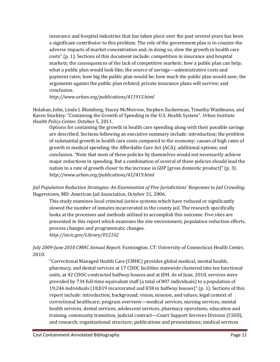insurance and hospital industries that has taken place over the past several years has been a significant contributor to this problem. The role of the government plan is to counter the adverse impacts of market concentration and, in doing so, slow the growth in health care costs" (p. 1). Sections of this document include: competition in insurance and hospital markets; the consequences of the lack of competitive markets; how a public plan can help; what a public plan would look like; the source of savings—administrative costs and payment rates; how big the public plan would be; how much the public plan would save; the arguments against the public plan refuted; private insurance plans will survive; and conclusion.

*<http://www.urban.org/publications/411915.html>*

Holahan, John, Linda J. Blumberg, Stacey McMorrow, Stephen Zuckerman, Timothy Waidmann, and Karen Stockley. "Containing the Growth of Spending in the U.S. Health System". *Urban Institute Health Policy Center*, October 5, 2011.

Options for containing the growth in health care spending along with their possible savings are described. Sections following an executive summary include: introduction; the problem of substantial growth in health care costs compared to the economy; causes of high rates of growth in medical spending; the Affordable Care Act (ACA); additional options; and conclusion. "Note that most of these policies by themselves would not necessarily achieve major reductions in spending. But a combination of several of these policies should lead the nation to a rate of growth closer to the increase in GDP [gross domestic product]" (p. 3). *<http://www.urban.org/publications/412419.html>*

*Jail Population Reduction Strategies: An Examination of Five Jurisdictions' Responses to Jail Crowding*. Hagerstown, MD: American Jail Association, October 31, 2006.

This study examines local criminal justice systems which have reduced or significantly slowed the number of inmates incarcerated in the county jail. The research specifically looks at the processes and methods utilized to accomplish this outcome. Five sites are presented in this report which examines the site environment, population reduction efforts, process changes and programmatic changes.

*<http://nicic.gov/Library/012162>*

*July 2009-June 2010 CMHC Annual Report*. Farmington, CT: University of Connecticut Health Center, 2010.

"Correctional Managed Health Care (CMHC) provides global medical, mental health, pharmacy, and dental services at 17 CDOC facilities statewide clustered into ten functional units, at 42 CDOC-contracted halfway houses and at JDH. As of June, 2010, services were provided by 734 full-time equivalent staff (a total of 807 individuals) to a population of 19,246 individuals (18,819 incarcerated and 838 in halfway houses)" (p. 1). Sections of this report include: introduction; background; vision, mission, and values; legal context of correctional healthcare; program overview—medical services, nursing services, mental health services, dental services, adolescent services, pharmacy operations, education and training, community transition, judicial contract—Court Support Services Division (CSSD), and research; organizational structure; publications and presentations; medical services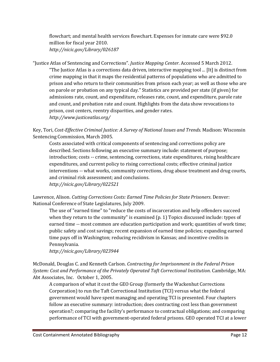flowchart; and mental health services flowchart. Expenses for inmate care were \$92.0 million for fiscal year 2010. *<http://nicic.gov/Library/026187>*

"Justice Atlas of Sentencing and Corrections". *Justice Mapping Center*. Accessed 5 March 2012.

"The Justice Atlas is a corrections data driven, interactive mapping tool ... [It] is distinct from crime mapping in that it maps the residential patterns of populations who are admitted to prison and who return to their communities from prison each year; as well as those who are on parole or probation on any typical day." Statistics are provided per state (if given) for admissions rate, count, and expenditure, releases rate, count, and expenditure, parole rate and count, and probation rate and count. Highlights from the data show revocations to prison, cost centers, reentry disparities, and gender rates. *<http://www.justiceatlas.org/>*

Key, Tori, *Cost-Effective Criminal Justice: A Survey of National Issues and Trends*. Madison: Wisconsin Sentencing Commission, March 2005.

Costs associated with critical components of sentencing and corrections policy are described. Sections following an executive summary include: statement of purpose; introduction; costs -- crime, sentencing, corrections, state expenditures, rising healthcare expenditures, and current policy to rising correctional costs; effective criminal justice interventions -- what works, community corrections, drug abuse treatment and drug courts, and criminal risk assessment; and conclusions. *<http://nicic.gov/Library/022521>*

Lawrence, Alison. *Cutting Corrections Costs: Earned Time Policies for State Prisoners*. Denver: National Conference of State Legislatures, July 2009.

The use of "earned time" to "reduce the costs of incarceration and help offenders succeed when they return to the community" is examined (p. 1) Topics discussed include: types of earned time -- most common are education participation and work; quantities of work time; public safety and cost savings; recent expansion of earned time policies; expanding earned time pays off in Washington; reducing recidivism in Kansas; and incentive credits in Pennsylvania.

*<http://nicic.gov/Library/023944>*

McDonald, Douglas C. and Kenneth Carlson. *Contracting for Imprisonment in the Federal Prison System: Cost and Performance of the Privately Operated Taft Correctional Institution*. Cambridge, MA: Abt Associates, Inc. October 1, 2005.

A comparison of what it cost the GEO Group (formerly the Wackenhut Corrections Corporation) to run the Taft Correctional Institution (TCI) versus what the federal government would have spent managing and operating TCI is presented. Four chapters follow an executive summary: introduction; does contracting cost less than government operation?; comparing the facility's performance to contractual obligations; and comparing performance of TCI with government-operated federal prisons. GEO operated TCI at a lower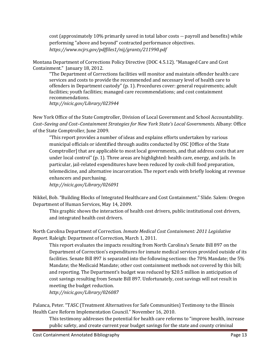cost (approximately 10% primarily saved in total labor costs -- payroll and benefits) while performing "above and beyond" contracted performance objectives. *<https://www.ncjrs.gov/pdffiles1/nij/grants/211990.pdf>*

Montana Department of Corrections Policy Directive (DOC 4.5.12). "Managed Care and Cost Containment." January 18, 2012.

"The Department of Corrections facilities will monitor and maintain offender health care services and costs to provide the recommended and necessary level of health care to offenders in Department custody" (p. 1). Procedures cover: general requirements; adult facilities; youth facilities; managed care recommendations; and cost containment recommendations. *<http://nicic.gov/Library/023944>*

New York Office of the State Comptroller, Division of Local Government and School Accountability. *Cost–Saving and Cost–Containment Strategies for New York State's Local Governments*. Albany: Office of the State Comptroller, June 2009.

"This report provides a number of ideas and explains efforts undertaken by various municipal officials or identified through audits conducted by OSC [Office of the State Comptroller] that are applicable to most local governments, and that address costs that are under local control" (p. 1). Three areas are highlighted: health care, energy, and jails. In particular, jail-related expenditures have been reduced by cook-chill food preparation, telemedicine, and alternative incarceration. The report ends with briefly looking at revenue enhancers and purchasing.

*<http://nicic.gov/Library/026091>*

Nikkel, Bob. "Building Blocks of Integrated Healthcare and Cost Containment." Slide. Salem: Oregon Department of Human Services, May 14, 2009.

This graphic shows the interaction of health cost drivers, public institutional cost drivers, and integrated health cost drivers.

North Carolina Department of Correction. *Inmate Medical Cost Containment: 2011 Legislative Report.* Raleigh: Department of Correction, March 1, 2011.

This report evaluates the impacts resulting from North Carolina's Senate Bill 897 on the Department of Correction's expenditures for inmate medical services provided outside of its facilities. Senate Bill 897 is separated into the following sections: the 70% Mandate; the 5% Mandate; the Medicaid Mandate; other cost containment methods not covered by this bill; and reporting. The Department's budget was reduced by \$20.5 million in anticipation of cost savings resulting from Senate Bill 897. Unfortunately, cost savings will not result in meeting the budget reduction. *<http://nicic.gov/Library/026087>*

Palanca, Peter. "TASC (Treatment Alternatives for Safe Communities) Testimony to the Illinois Health Care Reform Implementation Council." November 16, 2010.

This testimony addresses the potential for health care reforms to "improve health, increase public safety, and create current year budget savings for the state and county criminal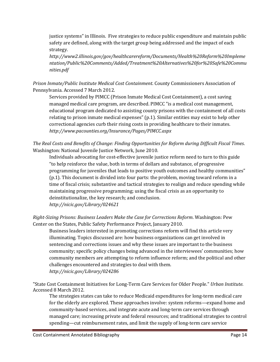justice systems" in Illinois. Five strategies to reduce public expenditure and maintain public safety are defined, along with the target group being addressed and the impact of each strategy.

*[http://www2.illinois.gov/gov/healthcarereform/Documents/Health%20Reform%20Impleme](http://www2.illinois.gov/gov/healthcarereform/Documents/Health%20Reform%20Implementation/Public%20Comments/Added/Treatment%20Alternatives%20for%20Safe%20Communities.pdf) [ntation/Public%20Comments/Added/Treatment%20Alternatives%20for%20Safe%20Commu](http://www2.illinois.gov/gov/healthcarereform/Documents/Health%20Reform%20Implementation/Public%20Comments/Added/Treatment%20Alternatives%20for%20Safe%20Communities.pdf) [nities.pdf](http://www2.illinois.gov/gov/healthcarereform/Documents/Health%20Reform%20Implementation/Public%20Comments/Added/Treatment%20Alternatives%20for%20Safe%20Communities.pdf)*

*Prison Inmate/Public Institute Medical Cost Containment*. County Commissioners Association of Pennsylvania. Accessed 7 March 2012.

Services provided by PIMCC (Prison Inmate Medical Cost Containment), a cost saving managed medical care program, are described. PIMCC "is a medical cost management, educational program dedicated to assisting county prisons with the containment of all costs relating to prison inmate medical expenses" (p.1). Similar entities may exist to help other correctional agencies curb their rising costs in providing healthcare to their inmates. *<http://www.pacounties.org/Insurance/Pages/PIMCC.aspx>*

*The Real Costs and Benefits of Change: Finding Opportunities for Reform during Difficult Fiscal Times*. Washington: National Juvenile Justice Network, June 2010.

Individuals advocating for cost-effective juvenile justice reform need to turn to this guide "to help reinforce the value, both in terms of dollars and substance, of progressive programming for juveniles that leads to positive youth outcomes and healthy communities" (p.1). This document is divided into four parts: the problem, moving toward reform in a time of fiscal crisis; substantive and tactical strategies to realign and reduce spending while maintaining progressive programming; using the fiscal crisis as an opportunity to deinstitutionalize, the key research; and conclusion. *<http://nicic.gov/Library/024621>*

*Right-Sizing Prisons: Business Leaders Make the Case for Corrections Reform*. Washington: Pew Center on the States, Public Safety Performance Project, January 2010.

Business leaders interested in promoting corrections reform will find this article very illuminating. Topics discussed are: how business organizations can get involved in sentencing and corrections issues and why these issues are important to the business community; specific policy changes being advanced in the interviewees' communities; how community members are attempting to reform influence reform; and the political and other challenges encountered and strategies to deal with them. *<http://nicic.gov/Library/024286>*

"State Cost Containment Initiatives for Long-Term Care Services for Older People." *Urban Institute*. Accessed 8 March 2012.

The strategies states can take to reduce Medicaid expenditures for long-term medical care for the elderly are explored. These approaches involve: system reforms—expand home and community-based services, and integrate acute and long-term care services through managed care; increasing private and federal resources; and traditional strategies to control spending—cut reimbursement rates, and limit the supply of long-term care service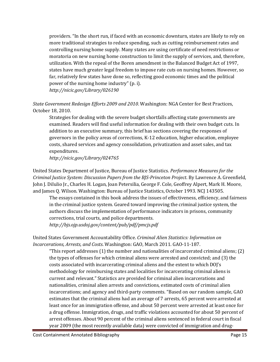providers. "In the short run, if faced with an economic downturn, states are likely to rely on more traditional strategies to reduce spending, such as cutting reimbursement rates and controlling nursing home supply. Many states are using certificate of need restrictions or moratoria on new nursing home construction to limit the supply of services, and, therefore, utilization. With the repeal of the Boren amendment in the Balanced Budget Act of 1997, states have much greater legal freedom to impose rate cuts on nursing homes. However, so far, relatively few states have done so, reflecting good economic times and the political power of the nursing home industry" (p. i). *<http://nicic.gov/Library/026190>*

*State Government Redesign Efforts 2009 and 2010*. Washington: NGA Center for Best Practices, October 18, 2010.

Strategies for dealing with the severe budget shortfalls affecting state governments are examined. Readers will find useful information for dealing with their own budget cuts. In addition to an executive summary, this brief has sections covering the responses of governors in the policy areas of corrections, K-12 education, higher education, employee costs, shared services and agency consolidation, privatization and asset sales, and tax expenditures.

*<http://nicic.gov/Library/024765>*

United States Department of Justice, Bureau of Justice Statistics. *Performance Measures for the Criminal Justice System: Discussion Papers from the BJS-Princeton Project*. By Lawrence A. Greenfield, John J. DiIulio Jr., Charles H. Logan, Joan Petersilia, George F. Cole, Geoffrey Alpert, Mark H. Moore, and James Q. Wilson. Washington: Bureau of Justice Statistics, October 1993. NCJ 143505.

The essays contained in this book address the issues of effectiveness, efficiency, and fairness in the criminal justice system. Geared toward improving the criminal justice system, the authors discuss the implementation of performance indicators in prisons, community corrections, trial courts, and police departments. *<http://bjs.ojp.usdoj.gov/content/pub/pdf/pmcjs.pdf>*

United States Government Accountability Office. *Criminal Alien Statistics: Information on Incarcerations, Arrests, and Costs*. Washington: GAO, March 2011. GAO-11-187.

"This report addresses (1) the number and nationalities of incarcerated criminal aliens; (2) the types of offenses for which criminal aliens were arrested and convicted; and (3) the costs associated with incarcerating criminal aliens and the extent to which DOJ's methodology for reimbursing states and localities for incarcerating criminal aliens is current and relevant." Statistics are provided for criminal alien incarcerations and nationalities, criminal alien arrests and convictions, estimated costs of criminal alien incarcerations; and agency and third-party comments. "Based on our random sample, GAO estimates that the criminal aliens had an average of 7 arrests, 65 percent were arrested at least once for an immigration offense, and about 50 percent were arrested at least once for a drug offense. Immigration, drugs, and traffic violations accounted for about 50 percent of arrest offenses. About 90 percent of the criminal aliens sentenced in federal court in fiscal year 2009 (the most recently available data) were convicted of immigration and drug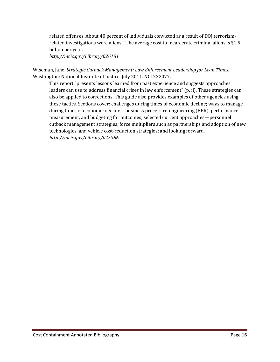related offenses. About 40 percent of individuals convicted as a result of DOJ terrorismrelated investigations were aliens." The average cost to incarcerate criminal aliens is \$1.5 billion per year.

*<http://nicic.gov/Library/026181>*

Wiseman, Jane. *Strategic Cutback Management: Law Enforcement Leadership for Lean Times*. Washington: National Institute of Justice, July 2011. NCJ 232077.

This report "presents lessons learned from past experience and suggests approaches leaders can use to address financial crises in law enforcement" (p. ii). These strategies can also be applied to corrections. This guide also provides examples of other agencies using these tactics. Sections cover: challenges during times of economic decline; ways to manage during times of economic decline—business process re-engineering (BPR), performance measurement, and budgeting for outcomes; selected current approaches—personnel cutback management strategies, force multipliers such as partnerships and adoption of new technologies, and vehicle cost-reduction strategies; and looking forward. *<http://nicic.gov/Library/025386>*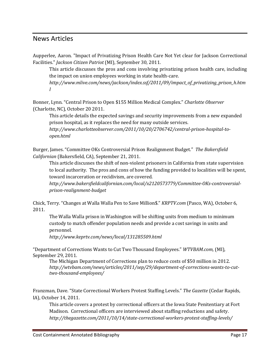#### <span id="page-17-0"></span>News Articles

Aupperlee, Aaron. "Impact of Privatizing Prison Health Care Not Yet clear for Jackson Correctional Facilities." *Jackson Citizen Patriot* (MI), September 30, 2011.

This article discusses the pros and cons involving privatizing prison health care, including the impact on union employees working in state health-care.

*[http://www.mlive.com/news/jackson/index.ssf/2011/09/impact\\_of\\_privatizing\\_prison\\_h.htm](http://www.mlive.com/news/jackson/index.ssf/2011/09/impact_of_privatizing_prison_h.html) [l](http://www.mlive.com/news/jackson/index.ssf/2011/09/impact_of_privatizing_prison_h.html)*

Bonner, Lynn. "Central Prison to Open \$155 Million Medical Complex." *Charlotte Observer*  (Charlotte, NC)*,* October 20 2011.

This article details the expected savings and security improvements from a new expanded prison hospital, as it replaces the need for many outside services.

*[http://www.charlotteobserver.com/2011/10/20/2706742/central-prison-hospital-to](http://www.charlotteobserver.com/2011/10/20/2706742/central-prison-hospital-to-open.html)[open.html](http://www.charlotteobserver.com/2011/10/20/2706742/central-prison-hospital-to-open.html)*

Burger, James. "Committee OKs Controversial Prison Realignment Budget." *The Bakersfield Californian* (Bakersfield, CA), September 21, 2011.

This article discusses the shift of non-violent prisoners in California from state supervision to local authority. The pros and cons of how the funding provided to localities will be spent, toward incarceration or recidivism, are covered.

*[http://www.bakersfieldcalifornian.com/local/x2120573779/Committee-OKs-controversial](http://www.bakersfieldcalifornian.com/local/x2120573779/Committee-OKs-controversial-prison-realignment-budget)[prison-realignment-budget](http://www.bakersfieldcalifornian.com/local/x2120573779/Committee-OKs-controversial-prison-realignment-budget)*

Chick, Terry. "Changes at Walla Walla Pen to Save Million\$." *KRPTV.com* (Pasco, WA), October 6, 2011.

The Walla Walla prison in Washington will be shifting units from medium to minimum custody to match offender population needs and provide a cost savings in units and personnel.

*<http://www.keprtv.com/news/local/131285509.html>*

"Department of Corrections Wants to Cut Two Thousand Employees." *WTVBAM.com,* (MI)*,*  September 29, 2011.

The Michigan Department of Corrections plan to reduce costs of \$50 million in 2012. *[http://wtvbam.com/news/articles/2011/sep/29/department-of-corrections-wants-to-cut](http://wtvbam.com/news/articles/2011/sep/29/department-of-corrections-wants-to-cut-two-thousand-employees/)[two-thousand-employees/](http://wtvbam.com/news/articles/2011/sep/29/department-of-corrections-wants-to-cut-two-thousand-employees/)*

Franzman, Dave. "State Correctional Workers Protest Staffing Levels." *The Gazette* (Cedar Rapids, IA), October 14, 2011.

This article covers a protest by correctional officers at the Iowa State Penitentiary at Fort Madison. Correctional officers are interviewed about staffing reductions and safety. *<http://thegazette.com/2011/10/14/state-correctional-workers-protest-staffing-levels/>*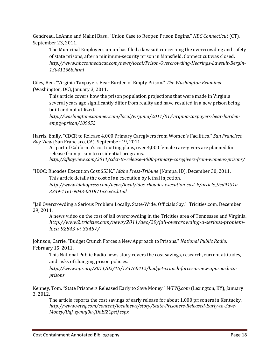Gendreau, LeAnne and Malini Basu. "Union Case to Reopen Prison Begins." *NBC Connecticut* (CT), September 23, 2011.

The Municipal Employees union has filed a law suit concerning the overcrowding and safety of state prisons, after a minimum-security prison in Mansfield, Connecticut was closed. *[http://www.nbcconnecticut.com/news/local/Prison-Overcrowding-Hearings-Lawsuit-Bergin-](http://www.nbcconnecticut.com/news/local/Prison-Overcrowding-Hearings-Lawsuit-Bergin-130411668.html)[130411668.html](http://www.nbcconnecticut.com/news/local/Prison-Overcrowding-Hearings-Lawsuit-Bergin-130411668.html)*

Giles, Ben. "Virginia Taxpayers Bear Burden of Empty Prison." *The Washington Examiner* (Washington, DC), January 3, 2011.

This article covers how the prison population projections that were made in Virginia several years ago significantly differ from reality and have resulted in a new prison being built and not utilized.

*[http://washingtonexaminer.com/local/virginia/2011/01/virginia-taxpayers-bear-burden](http://washingtonexaminer.com/local/virginia/2011/01/virginia-taxpayers-bear-burden-empty-prison/109052)[empty-prison/109052](http://washingtonexaminer.com/local/virginia/2011/01/virginia-taxpayers-bear-burden-empty-prison/109052)*

Harris, Emily. "CDCR to Release 4,000 Primary Caregivers from Women's Facilities." *San Francisco Bay View* (San Francisco, CA), September 19, 2011.

As part of California's cost cutting plans, over 4,000 female care-givers are planned for release from prison to residential programs. *<http://sfbayview.com/2011/cdcr-to-release-4000-primary-caregivers-from-womens-prisons/>*

"IDOC: Rhoades Execution Cost \$53K." *Idaho Press-Tribune* (Nampa, ID), December 30, 2011. This article details the cost of an execution by lethal injection. *[http://www.idahopress.com/news/local/idoc-rhoades-execution-cost-k/article\\_9cd9431a-](http://www.idahopress.com/news/local/idoc-rhoades-execution-cost-k/article_9cd9431a-3339-11e1-9043-001871e3ce6c.html)[3339-11e1-9043-001871e3ce6c.html](http://www.idahopress.com/news/local/idoc-rhoades-execution-cost-k/article_9cd9431a-3339-11e1-9043-001871e3ce6c.html)*

"Jail Overcrowding a Serious Problem Locally, State-Wide, Officials Say." Tricities.com. December 29, 2011.

A news video on the cost of jail overcrowding in the Tricities area of Tennessee and Virginia. *[http://www2.tricities.com/news/2011/dec/29/jail-overcrowding-a-serious-problem](http://www2.tricities.com/news/2011/dec/29/jail-overcrowding-a-serious-problem-loca-92843-vi-33457/)[loca-92843-vi-33457/](http://www2.tricities.com/news/2011/dec/29/jail-overcrowding-a-serious-problem-loca-92843-vi-33457/)*

Johnson, Carrie. "Budget Crunch Forces a New Approach to Prisons." *National Public Radio.* February 15, 2011.

This National Public Radio news story covers the cost savings, research, current attitudes, and risks of changing prison policies.

*[http://www.npr.org/2011/02/15/133760412/budget-crunch-forces-a-new-approach-to](http://www.npr.org/2011/02/15/133760412/budget-crunch-forces-a-new-approach-to-prisons)[prisons](http://www.npr.org/2011/02/15/133760412/budget-crunch-forces-a-new-approach-to-prisons)*

Kenney, Tom. "State Prisoners Released Early to Save Money." *WTVQ.com* (Lexington, KY), January 3, 2012.

The article reports the cost savings of early release for about 1,000 prisoners in Kentucky. *[http://www.wtvq.com/content/localnews/story/State-Prisoners-Released-Early-to-Save-](http://www.wtvq.com/content/localnews/story/State-Prisoners-Released-Early-to-Save-Money/UqJ_zymnj0u-jDoEi2CpsQ.cspx)[Money/UqJ\\_zymnj0u-jDoEi2CpsQ.cspx](http://www.wtvq.com/content/localnews/story/State-Prisoners-Released-Early-to-Save-Money/UqJ_zymnj0u-jDoEi2CpsQ.cspx)*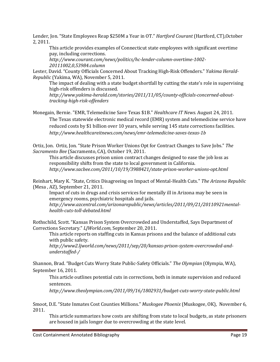Lender, Jon. "State Employees Reap \$250M a Year in OT." *Hartford Courant* (Hartford, CT),October 2, 2011.

This article provides examples of Connecticut state employees with significant overtime pay, including corrections.

*[http://www.courant.com/news/politics/hc-lender-column-overtime-1002-](http://www.courant.com/news/politics/hc-lender-column-overtime-1002-20111002,0,53984.column) [20111002,0,53984.column](http://www.courant.com/news/politics/hc-lender-column-overtime-1002-20111002,0,53984.column)*

Lester, David. "County Officials Concerned About Tracking High-Risk Offenders." *Yakima Herald-Republic* (Yakima, WA), November 5, 2011.

The impact of dealing with a state budget shortfall by cutting the state's role in supervising high-risk offenders is discussed.

*[http://www.yakima-herald.com/stories/2011/11/05/county-officials-concerned-about](http://www.yakima-herald.com/stories/2011/11/05/county-officials-concerned-about-tracking-high-risk-offenders)[tracking-high-risk-offenders](http://www.yakima-herald.com/stories/2011/11/05/county-officials-concerned-about-tracking-high-risk-offenders)*

Monegain, Bernie. "EMR, Telemedicine Save Texas \$1B." *Healthcare IT News.* August 24, 2011. The Texas statewide electronic medical record (EMR) system and telemedicine service have reduced costs by \$1 billion over 10 years, while serving 145 state corrections facilities. *<http://www.healthcareitnews.com/news/emr-telemedicine-saves-texas-1b>*

Ortiz, Jon. Ortiz, Jon. "State Prison Worker Unions Opt for Contract Changes to Save Jobs." *The Sacramento Bee* (Sacramento, CA), October 19, 2011.

This article discusses prison union contract changes designed to ease the job loss as responsibility shifts from the state to local government in California. *<http://www.sacbee.com/2011/10/19/3988421/state-prison-worker-unions-opt.html>*

Reinhart, Mary K. "State, Critics Disagreeing on Impact of Mental-Health Cuts." *The Arizona Republic* (Mesa , AZ), September 21, 2011.

Impact of cuts in drugs and crisis services for mentally ill in Arizona may be seen in emergency rooms, psychiatric hospitals and jails. *[http://www.azcentral.com/arizonarepublic/news/articles/2011/09/21/20110921mental-](http://www.azcentral.com/arizonarepublic/news/articles/2011/09/21/20110921mental-health-cuts-toll-debated.html)*

*[health-cuts-toll-debated.html](http://www.azcentral.com/arizonarepublic/news/articles/2011/09/21/20110921mental-health-cuts-toll-debated.html)*

Rothschild, Scott. "Kansas Prison System Overcrowded and Understaffed, Says Department of Corrections Secretary." *LJWorld.com,* September 20, 2011.

This article reports on staffing cuts in Kansas prisons and the balance of additional cuts with public safety.

*[http://www2.ljworld.com/news/2011/sep/20/kansas-prison-system-overcrowded-and](http://www2.ljworld.com/news/2011/sep/20/kansas-prison-system-overcrowded-and-understaffed-/)[understaffed-/](http://www2.ljworld.com/news/2011/sep/20/kansas-prison-system-overcrowded-and-understaffed-/)*

Shannon, Brad. "Budget Cuts Worry State Public-Safety Officials." *The Olympian* (Olympia, WA), September 16, 2011.

This article outlines potential cuts in corrections, both in inmate supervision and reduced sentences.

*<http://www.theolympian.com/2011/09/16/1802931/budget-cuts-worry-state-public.html>*

Smoot, D.E. "State Inmates Cost Counties Millions." *Muskogee Phoenix* (Muskogee, OK), November 6, 2011.

This article summarizes how costs are shifting from state to local budgets, as state prisoners are housed in jails longer due to overcrowding at the state level.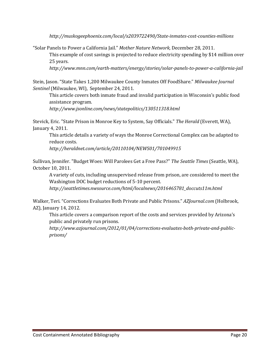*<http://muskogeephoenix.com/local/x2039722490/State-inmates-cost-counties-millions>*

"Solar Panels to Power a California Jail." *Mother Nature Network,* December 28, 2011.

This example of cost savings is projected to reduce electricity spending by \$14 million over 25 years.

*<http://www.mnn.com/earth-matters/energy/stories/solar-panels-to-power-a-california-jail>*

Stein, Jason. "State Takes 1,200 Milwaukee County Inmates Off FoodShare." *Milwaukee Journal Sentinel* (Milwaukee, WI), September 24, 2011.

This article covers both inmate fraud and invalid participation in Wisconsin's public food assistance program.

*<http://www.jsonline.com/news/statepolitics/130511318.html>*

Stevick, Eric. "State Prison in Monroe Key to System, Say Officials." *The Herald* (Everett, WA), January 4, 2011.

This article details a variety of ways the Monroe Correctional Complex can be adapted to reduce costs.

*<http://heraldnet.com/article/20110104/NEWS01/701049915>*

Sullivan, Jennifer. "Budget Woes: Will Parolees Get a Free Pass?" *The Seattle Times* (Seattle, WA), October 10, 2011.

A variety of cuts, including unsupervised release from prison, are considered to meet the Washington DOC budget reductions of 5-10 percent.

*[http://seattletimes.nwsource.com/html/localnews/2016465781\\_doccuts11m.html](http://seattletimes.nwsource.com/html/localnews/2016465781_doccuts11m.html)*

Walker, Teri. "Corrections Evaluates Both Private and Public Prisons." *AZJournal.com* (Holbrook, AZ), January 14, 2012.

This article covers a comparison report of the costs and services provided by Arizona's public and privately run prisons.

*[http://www.azjournal.com/2012/01/04/corrections-evaluates-both-private-and-public](http://www.azjournal.com/2012/01/04/corrections-evaluates-both-private-and-public-prisons/)[prisons/](http://www.azjournal.com/2012/01/04/corrections-evaluates-both-private-and-public-prisons/)*